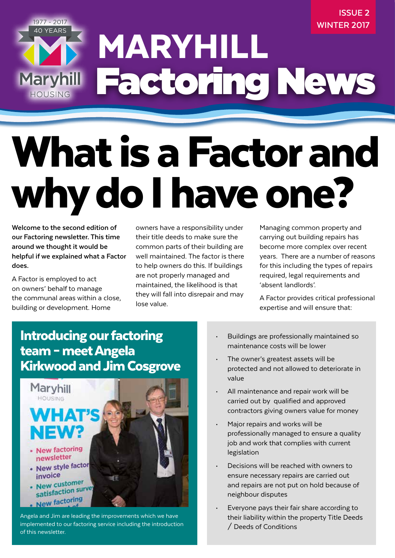**ISSUE 2 WINTER 2017**

#### 1977 - 2017 40 YEARS MARYHILL Factoring News Maryhill HOUSING

# What is a Factor and why do I have one?

**Welcome to the second edition of our Factoring newsletter. This time around we thought it would be helpful if we explained what a Factor does.** 

A Factor is employed to act on owners' behalf to manage the communal areas within a close, building or development. Home

owners have a responsibility under their title deeds to make sure the common parts of their building are well maintained. The factor is there to help owners do this. If buildings are not properly managed and maintained, the likelihood is that they will fall into disrepair and may lose value.

Managing common property and carrying out building repairs has become more complex over recent years. There are a number of reasons for this including the types of repairs required, legal requirements and 'absent landlords'.

A Factor provides critical professional expertise and will ensure that:

### Introducing our factoring team – meet Angela Kirkwood and Jim Cosgrove



Angela and Jim are leading the improvements which we have implemented to our factoring service including the introduction of this newsletter.

- Buildings are professionally maintained so maintenance costs will be lower
- The owner's greatest assets will be protected and not allowed to deteriorate in value
- All maintenance and repair work will be carried out by qualified and approved contractors giving owners value for money
- Major repairs and works will be professionally managed to ensure a quality job and work that complies with current legislation
- Decisions will be reached with owners to ensure necessary repairs are carried out and repairs are not put on hold because of neighbour disputes
- Everyone pays their fair share according to their liability within the property Title Deeds / Deeds of Conditions